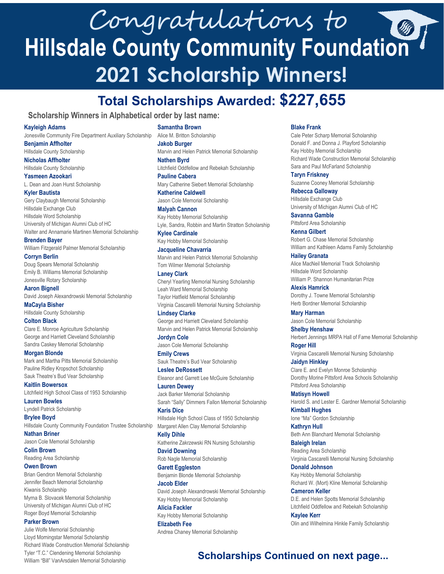# Congratulations to<br>Hillsdale County Community Foundation **2021 Scholarship Winners!**

## **Total Scholarships Awarded: \$227,655**

### **Scholarship Winners in Alphabetical order by last name:**

#### **Kayleigh Adams**

Jonesville Community Fire Department Auxiliary Scholarship **Benjamin Affholter**

Hillsdale County Scholarship

**Nicholas Affholter** Hillsdale County Scholarship

**Yasmeen Azookari** L. Dean and Joan Hurst Scholarship

#### **Kyler Bautista**

Gery Claybaugh Memorial Scholarship Hillsdale Exchange Club Hillsdale Word Scholarship University of Michigan Alumni Club of HC Walter and Annamarie Martinen Memorial Scholarship

**Brenden Bayer**

William Fitzgerald Palmer Memorial Scholarship

**Corryn Berlin** Doug Spears Memorial Scholarship Emily B. Williams Memorial Scholarship Jonesville Rotary Scholarship

**Aaron Bignell** David Joseph Alexandrowski Memorial Scholarship

**MaCayla Bisher** Hillsdale County Scholarship

**Colton Black**

Clare E. Monroe Agriculture Scholarship George and Harriett Cleveland Scholarship Sandra Caskey Memorial Scholarship

**Morgan Blonde** Mark and Martha Pitts Memorial Scholarship Pauline Ridley Kropschot Scholarship Sauk Theatre's Bud Vear Scholarship

**Kaitlin Bowersox** Litchfield High School Class of 1953 Scholarship **Lauren Bowles**

Lyndell Patrick Scholarship

**Brylee Boyd** Hillsdale County Community Foundation Trustee Scholarship **Nathan Briner**

Jason Cole Memorial Scholarship

**Colin Brown** Reading Area Scholarship

#### **Owen Brown**

Brian Gendron Memorial Scholarship Jennifer Beach Memorial Scholarship Kiwanis Scholarship Myrna B. Slovacek Memorial Scholarship University of Michigan Alumni Club of HC Roger Boyd Memorial Scholarship

#### **Parker Brown**

Julie Wolfe Memorial Scholarship Lloyd Morningstar Memorial Scholarship Richard Wade Construction Memorial Scholarship Tyler "T.C." Clendening Memorial Scholarship William "Bill" VanArsdalen Memorial Scholarship

**Samantha Brown**

Alice M. Britton Scholarship **Jakob Burger**

Marvin and Helen Patrick Memorial Scholarship **Nathen Byrd**

Litchfield Oddfellow and Rebekah Scholarship **Pauline Cabera**

Mary Catherine Siebert Memorial Scholarship **Katherine Caldwell**

Jason Cole Memorial Scholarship **Malyah Cannon**

Kay Hobby Memorial Scholarship Lyle, Sandra, Robbin and Martin Stratton Scholarship

**Kylee Cardinale** Kay Hobby Memorial Scholarship

**Jacqueline Chavarria**

Marvin and Helen Patrick Memorial Scholarship Tom Wilmer Memorial Scholarship

**Laney Clark** Cheryl Yearling Memorial Nursing Scholarship Leah Ward Memorial Scholarship Taylor Hatfield Memorial Scholarship Virginia Cascarelli Memorial Nursing Scholarship

**Lindsey Clarke** George and Harriett Cleveland Scholarship Marvin and Helen Patrick Memorial Scholarship **Jordyn Cole**

Jason Cole Memorial Scholarship **Emily Crews**

Sauk Theatre's Bud Vear Scholarship **Leslee DeRossett**

Eleanor and Garrett Lee McGuire Scholarship

**Lauren Dewey** Jack Barker Memorial Scholarship Sarah "Sally" Dimmers Fallon Memorial Scholarship

**Karis Dice** Hillsdale High School Class of 1950 Scholarship Margaret Allen Clay Memorial Scholarship

**Kelly Dihle** Katherine Zakrzewski RN Nursing Scholarship

**David Downing** Rob Nagle Memorial Scholarship

**Garett Eggleston** Benjamin Blonde Memorial Scholarship

**Jacob Elder** David Joseph Alexandrowski Memorial Scholarship Kay Hobby Memorial Scholarship

**Alicia Fackler** Kay Hobby Memorial Scholarship **Elizabeth Fee**

Andrea Chaney Memorial Scholarship

#### **Blake Frank**

Cale Peter Scharp Memorial Scholarship Donald F. and Donna J. Playford Scholarship Kay Hobby Memorial Scholarship Richard Wade Construction Memorial Scholarship Sara and Paul McFarland Scholarship

**Taryn Friskney** Suzanne Cooney Memorial Scholarship

**Rebecca Galloway** Hillsdale Exchange Club University of Michigan Alumni Club of HC

**Savanna Gamble** Pittsford Area Scholarship

**Kenna Gilbert** Robert G. Chase Memorial Scholarship William and Kathleen Adams Family Scholarship

**Hailey Granata** Alice MacNeil Memorial Track Scholarship Hillsdale Word Scholarship William P. Shannon Humanitarian Prize

**Alexis Hamrick** Dorothy J. Towne Memorial Scholarship Herb Bordner Memorial Scholarship

**Mary Harman** Jason Cole Memorial Scholarship

**Shelby Henshaw** Herbert Jennings MRPA Hall of Fame Memorial Scholarship

**Roger Hill** Virginia Cascarelli Memorial Nursing Scholarship

**Jaidyn Hinkley**  Clare E. and Evelyn Monroe Scholarship Dorothy Morine Pittsford Area Schools Scholarship Pittsford Area Scholarship

**Matisyn Howell** Harold S. and Lester E. Gardner Memorial Scholarship

**Kimball Hughes** Ione "Ma" Gordon Scholarship

**Kathryn Hull** Beth Ann Blanchard Memorial Scholarship

**Baleigh Irelan** Reading Area Scholarship Virginia Cascarelli Memorial Nursing Scholarship

**Donald Johnson** Kay Hobby Memorial Scholarship Richard W. (Mort) Kline Memorial Scholarship

**Cameron Keller** D.E. and Helen Spotts Memorial Scholarship Litchfield Oddfellow and Rebekah Scholarship **Kaylee Kerr**

Olin and Wilhelmina Hinkle Family Scholarship

## **Scholarships Continued on next page...**